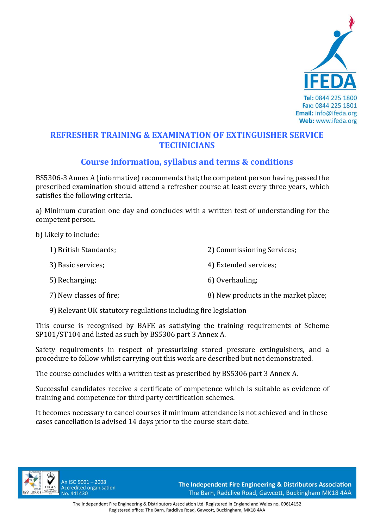

## **REFRESHER TRAINING & EXAMINATION OF EXTINGUISHER SERVICE TECHNICIANS**

# **Course information, syllabus and terms & conditions**

BS5306‐3 Annex A (informative) recommends that; the competent person having passed the prescribed examination should attend a refresher course at least every three years, which satisfies the following criteria.

a) Minimum duration one day and concludes with a written test of understanding for the competent person.

b) Likely to include:

| 1) British Standards;   | 2) Commissioning Services;           |
|-------------------------|--------------------------------------|
| 3) Basic services;      | 4) Extended services;                |
| 5) Recharging;          | 6) Overhauling;                      |
| 7) New classes of fire; | 8) New products in the market place; |

9) Relevant UK statutory regulations including fire legislation

This course is recognised by BAFE as satisfying the training requirements of Scheme SP101/ST104 and listed as such by BS5306 part 3 Annex A.

Safety requirements in respect of pressurizing stored pressure extinguishers, and a procedure to follow whilst carrying out this work are described but not demonstrated.

The course concludes with a written test as prescribed by BS5306 part 3 Annex A.

Successful candidates receive a certificate of competence which is suitable as evidence of training and competence for third party certification schemes.

It becomes necessary to cancel courses if minimum attendance is not achieved and in these cases cancellation is advised 14 days prior to the course start date.



An ISO 9001-2008 **Accredited organisation** No. 441430

The Independent Fire Engineering & Distributors Association The Barn, Radclive Road, Gawcott, Buckingham MK18 4AA

The Independent Fire Engineering & Distributors Association Ltd. Registered in England and Wales no. 09614152 Registered office: The Barn, Radclive Road, Gawcott, Buckingham, MK18 4AA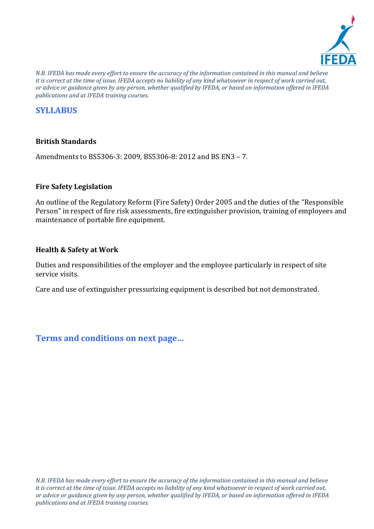

*N.B. IFEDA has made every effort to ensure the accuracy of the information contained in this manual and believe it is correct at the time of issue. IFEDA accepts no liability of any kind whatsoever in respect of work carried out, or advice or guidance given by any person, whether qualified by IFEDA, or based on information offered in IFEDA publications and at IFEDA training courses.* 

# **SYLLABUS**

### **British Standards**

Amendments to BS5306‐3: 2009, BS5306‐8: 2012 and BS EN3 – 7.

#### **Fire Safety Legislation**

An outline of the Regulatory Reform (Fire Safety) Order 2005 and the duties of the "Responsible Person" in respect of fire risk assessments, fire extinguisher provision, training of employees and maintenance of portable fire equipment.

#### **Health & Safety at Work**

Duties and responsibilities of the employer and the employee particularly in respect of site service visits.

Care and use of extinguisher pressurizing equipment is described but not demonstrated.

**Terms and conditions on next page…**